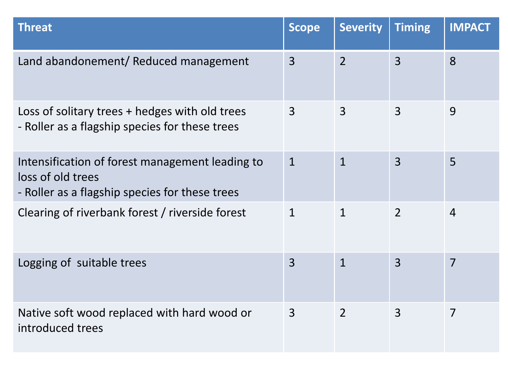| <b>Threat</b>                                                                                                          | <b>Scope</b>   | <b>Severity</b> | <b>Timing</b>  | <b>IMPACT</b>  |
|------------------------------------------------------------------------------------------------------------------------|----------------|-----------------|----------------|----------------|
| Land abandonement/ Reduced management                                                                                  | $\overline{3}$ | $\overline{2}$  | $\overline{3}$ | 8              |
| Loss of solitary trees + hedges with old trees<br>- Roller as a flagship species for these trees                       | $\overline{3}$ | $\overline{3}$  | $\overline{3}$ | 9              |
| Intensification of forest management leading to<br>loss of old trees<br>- Roller as a flagship species for these trees | $\mathbf{1}$   | $\mathbf{1}$    | $\overline{3}$ | 5              |
| Clearing of riverbank forest / riverside forest                                                                        | $\mathbf{1}$   | $\mathbf{1}$    | $\overline{2}$ | $\overline{4}$ |
| Logging of suitable trees                                                                                              | $\overline{3}$ | $\mathbf{1}$    | $\overline{3}$ | 7              |
| Native soft wood replaced with hard wood or<br>introduced trees                                                        | $\overline{3}$ | $\overline{2}$  | 3              | $\overline{7}$ |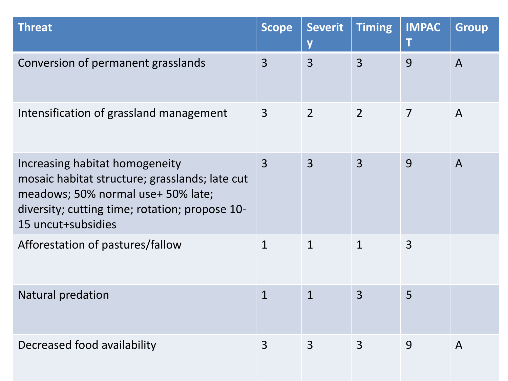| <b>Threat</b>                                                                                                                                                                                  | <b>Scope</b>   | <b>Severit</b><br>V | <b>Timing</b>  | <b>IMPAC</b><br>T | <b>Group</b>   |
|------------------------------------------------------------------------------------------------------------------------------------------------------------------------------------------------|----------------|---------------------|----------------|-------------------|----------------|
| Conversion of permanent grasslands                                                                                                                                                             | $\overline{3}$ | $\overline{3}$      | $\overline{3}$ | 9                 | $\overline{A}$ |
| Intensification of grassland management                                                                                                                                                        | $\overline{3}$ | $\overline{2}$      | $\overline{2}$ | $\overline{7}$    | $\mathsf{A}$   |
| Increasing habitat homogeneity<br>mosaic habitat structure; grasslands; late cut<br>meadows; 50% normal use+ 50% late;<br>diversity; cutting time; rotation; propose 10-<br>15 uncut+subsidies | $\overline{3}$ | $\overline{3}$      | $\overline{3}$ | 9                 | $\overline{A}$ |
| Afforestation of pastures/fallow                                                                                                                                                               | $\mathbf{1}$   | $\mathbf{1}$        | $\mathbf{1}$   | $\overline{3}$    |                |
| Natural predation                                                                                                                                                                              | $\mathbf{1}$   | $\mathbf{1}$        | $\overline{3}$ | 5                 |                |
| Decreased food availability                                                                                                                                                                    | 3              | 3                   | 3              | 9                 | $\mathsf{A}$   |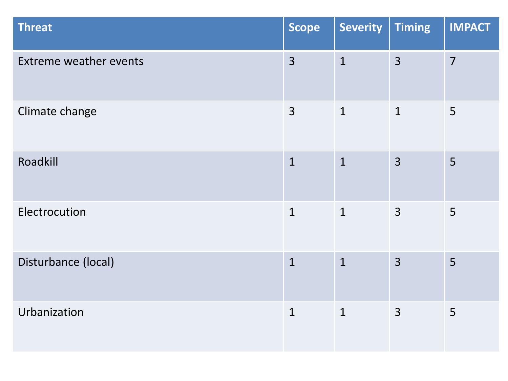| <b>Threat</b>                 | <b>Scope</b>   | <b>Severity</b> | <b>Timing</b>  | <b>IMPACT</b>  |
|-------------------------------|----------------|-----------------|----------------|----------------|
| <b>Extreme weather events</b> | $\overline{3}$ | $\mathbf{1}$    | $\overline{3}$ | $\overline{7}$ |
| Climate change                | $\overline{3}$ | $\mathbf{1}$    | $\mathbf{1}$   | 5              |
| Roadkill                      | $\mathbf{1}$   | $\mathbf{1}$    | $\overline{3}$ | 5              |
| Electrocution                 | $\mathbf{1}$   | $\mathbf{1}$    | 3              | 5              |
| Disturbance (local)           | $\overline{1}$ | $\overline{1}$  | $\overline{3}$ | 5              |
| Urbanization                  | $\mathbf{1}$   | $\mathbf{1}$    | $\overline{3}$ | 5              |